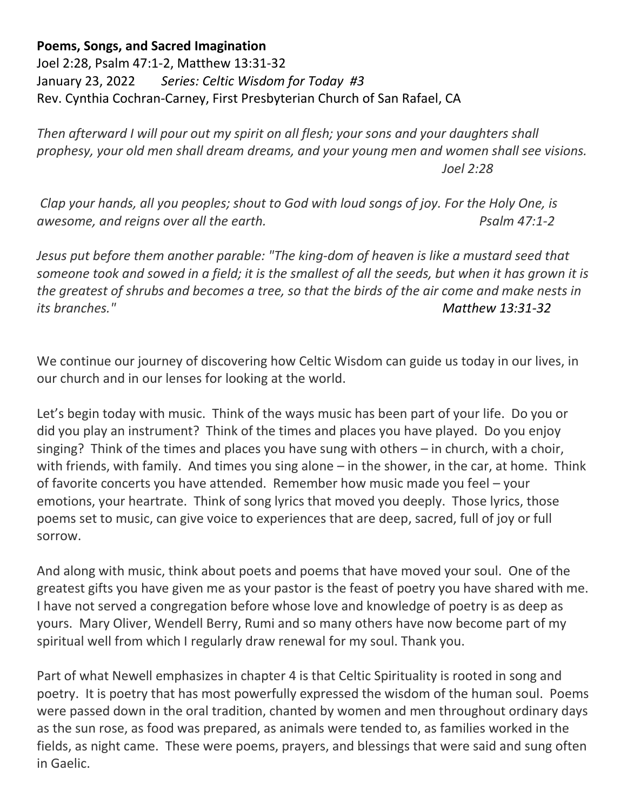## **Poems, Songs, and Sacred Imagination**

Joel 2:28, Psalm 47:1-2, Matthew 13:31-32 January 23, 2022 *Series: Celtic Wisdom for Today #3* Rev. Cynthia Cochran-Carney, First Presbyterian Church of San Rafael, CA

*Then afterward I will pour out my spirit on all flesh; your sons and your daughters shall prophesy, your old men shall dream dreams, and your young men and women shall see visions. Joel 2:28*

*Clap your hands, all you peoples; shout to God with loud songs of joy. For the Holy One, is awesome, and reigns over all the earth. Psalm 47:1-2* 

*Jesus put before them another parable: "The king-dom of heaven is like a mustard seed that someone took and sowed in a field; it is the smallest of all the seeds, but when it has grown it is the greatest of shrubs and becomes a tree, so that the birds of the air come and make nests in its branches." Matthew 13:31-32*

We continue our journey of discovering how Celtic Wisdom can guide us today in our lives, in our church and in our lenses for looking at the world.

Let's begin today with music. Think of the ways music has been part of your life. Do you or did you play an instrument? Think of the times and places you have played. Do you enjoy singing? Think of the times and places you have sung with others – in church, with a choir, with friends, with family. And times you sing alone – in the shower, in the car, at home. Think of favorite concerts you have attended. Remember how music made you feel – your emotions, your heartrate. Think of song lyrics that moved you deeply. Those lyrics, those poems set to music, can give voice to experiences that are deep, sacred, full of joy or full sorrow.

And along with music, think about poets and poems that have moved your soul. One of the greatest gifts you have given me as your pastor is the feast of poetry you have shared with me. I have not served a congregation before whose love and knowledge of poetry is as deep as yours. Mary Oliver, Wendell Berry, Rumi and so many others have now become part of my spiritual well from which I regularly draw renewal for my soul. Thank you.

Part of what Newell emphasizes in chapter 4 is that Celtic Spirituality is rooted in song and poetry. It is poetry that has most powerfully expressed the wisdom of the human soul. Poems were passed down in the oral tradition, chanted by women and men throughout ordinary days as the sun rose, as food was prepared, as animals were tended to, as families worked in the fields, as night came. These were poems, prayers, and blessings that were said and sung often in Gaelic.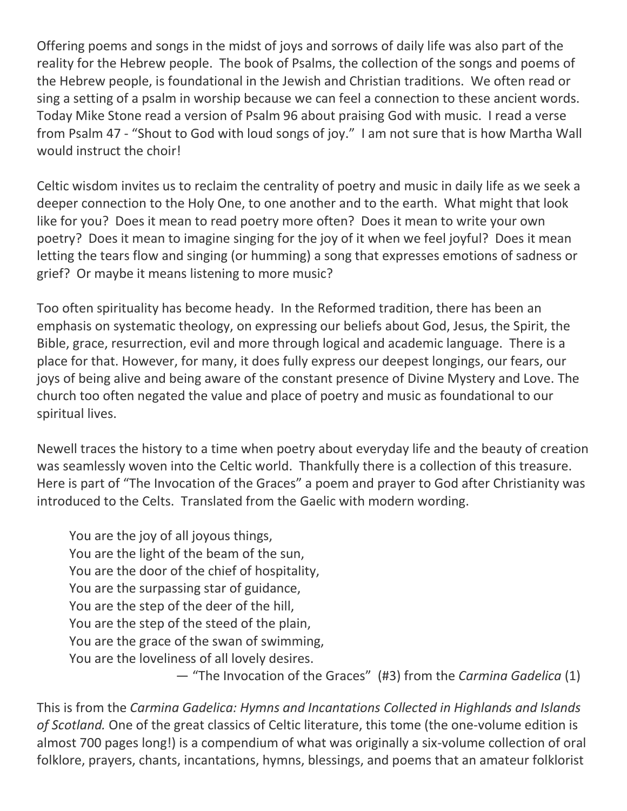Offering poems and songs in the midst of joys and sorrows of daily life was also part of the reality for the Hebrew people. The book of Psalms, the collection of the songs and poems of the Hebrew people, is foundational in the Jewish and Christian traditions. We often read or sing a setting of a psalm in worship because we can feel a connection to these ancient words. Today Mike Stone read a version of Psalm 96 about praising God with music. I read a verse from Psalm 47 - "Shout to God with loud songs of joy." I am not sure that is how Martha Wall would instruct the choir!

Celtic wisdom invites us to reclaim the centrality of poetry and music in daily life as we seek a deeper connection to the Holy One, to one another and to the earth. What might that look like for you? Does it mean to read poetry more often? Does it mean to write your own poetry? Does it mean to imagine singing for the joy of it when we feel joyful? Does it mean letting the tears flow and singing (or humming) a song that expresses emotions of sadness or grief? Or maybe it means listening to more music?

Too often spirituality has become heady. In the Reformed tradition, there has been an emphasis on systematic theology, on expressing our beliefs about God, Jesus, the Spirit, the Bible, grace, resurrection, evil and more through logical and academic language. There is a place for that. However, for many, it does fully express our deepest longings, our fears, our joys of being alive and being aware of the constant presence of Divine Mystery and Love. The church too often negated the value and place of poetry and music as foundational to our spiritual lives.

Newell traces the history to a time when poetry about everyday life and the beauty of creation was seamlessly woven into the Celtic world. Thankfully there is a collection of this treasure. Here is part of "The Invocation of the Graces" a poem and prayer to God after Christianity was introduced to the Celts. Translated from the Gaelic with modern wording.

You are the joy of all joyous things, You are the light of the beam of the sun, You are the door of the chief of hospitality, You are the surpassing star of guidance, You are the step of the deer of the hill, You are the step of the steed of the plain, You are the grace of the swan of swimming, You are the loveliness of all lovely desires. — "The Invocation of the Graces" (#3) from the *Carmina Gadelica* (1)

This is from the *Carmina Gadelica: Hymns and Incantations Collected in Highlands and Islands of Scotland.* One of the great classics of Celtic literature, this tome (the one-volume edition is almost 700 pages long!) is a compendium of what was originally a six-volume collection of oral folklore, prayers, chants, incantations, hymns, blessings, and poems that an amateur folklorist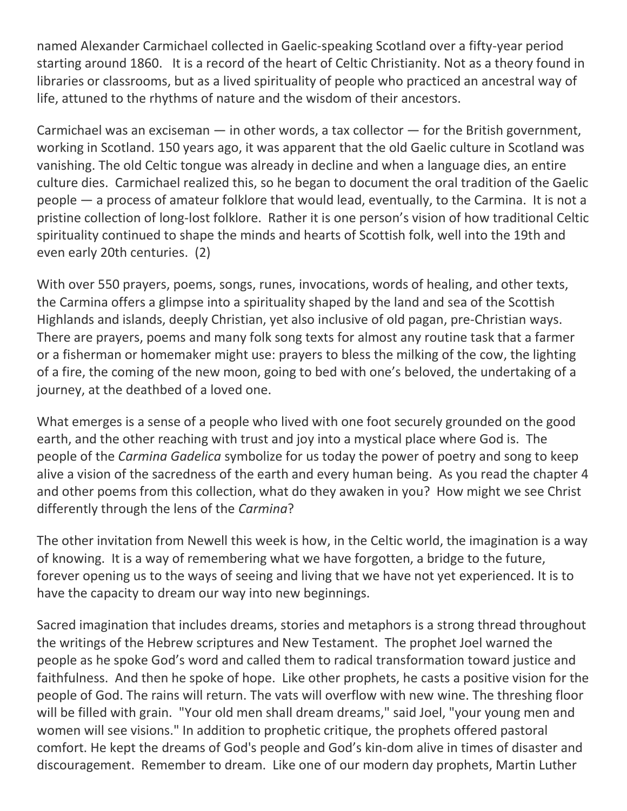named Alexander Carmichael collected in Gaelic-speaking Scotland over a fifty-year period starting around 1860. It is a record of the heart of Celtic Christianity. Not as a theory found in libraries or classrooms, but as a lived spirituality of people who practiced an ancestral way of life, attuned to the rhythms of nature and the wisdom of their ancestors.

Carmichael was an exciseman  $-$  in other words, a tax collector  $-$  for the British government, working in Scotland. 150 years ago, it was apparent that the old Gaelic culture in Scotland was vanishing. The old Celtic tongue was already in decline and when a language dies, an entire culture dies. Carmichael realized this, so he began to document the oral tradition of the Gaelic people — a process of amateur folklore that would lead, eventually, to the Carmina. It is not a pristine collection of long-lost folklore. Rather it is one person's vision of how traditional Celtic spirituality continued to shape the minds and hearts of Scottish folk, well into the 19th and even early 20th centuries. (2)

With over 550 prayers, poems, songs, runes, invocations, words of healing, and other texts, the Carmina offers a glimpse into a spirituality shaped by the land and sea of the Scottish Highlands and islands, deeply Christian, yet also inclusive of old pagan, pre-Christian ways. There are prayers, poems and many folk song texts for almost any routine task that a farmer or a fisherman or homemaker might use: prayers to bless the milking of the cow, the lighting of a fire, the coming of the new moon, going to bed with one's beloved, the undertaking of a journey, at the deathbed of a loved one.

What emerges is a sense of a people who lived with one foot securely grounded on the good earth, and the other reaching with trust and joy into a mystical place where God is. The people of the *Carmina Gadelica* symbolize for us today the power of poetry and song to keep alive a vision of the sacredness of the earth and every human being. As you read the chapter 4 and other poems from this collection, what do they awaken in you? How might we see Christ differently through the lens of the *Carmina*?

The other invitation from Newell this week is how, in the Celtic world, the imagination is a way of knowing. It is a way of remembering what we have forgotten, a bridge to the future, forever opening us to the ways of seeing and living that we have not yet experienced. It is to have the capacity to dream our way into new beginnings.

Sacred imagination that includes dreams, stories and metaphors is a strong thread throughout the writings of the Hebrew scriptures and New Testament. The prophet Joel warned the people as he spoke God's word and called them to radical transformation toward justice and faithfulness. And then he spoke of hope. Like other prophets, he casts a positive vision for the people of God. The rains will return. The vats will overflow with new wine. The threshing floor will be filled with grain. "Your old men shall dream dreams," said Joel, "your young men and women will see visions." In addition to prophetic critique, the prophets offered pastoral comfort. He kept the dreams of God's people and God's kin-dom alive in times of disaster and discouragement. Remember to dream. Like one of our modern day prophets, Martin Luther